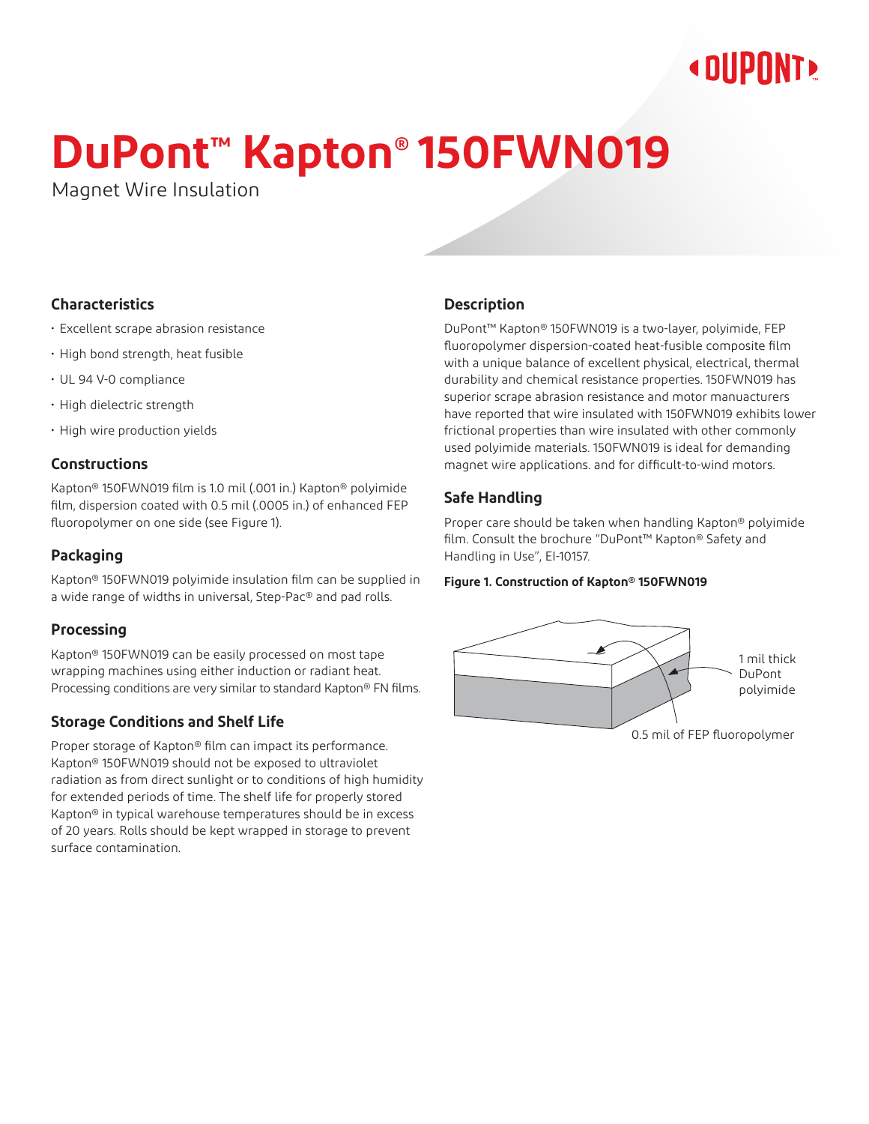## **« DIIPNNT»**

# **DuPont™ Kapton® 150FWN019**

Magnet Wire Insulation

#### **Characteristics**

- Excellent scrape abrasion resistance
- High bond strength, heat fusible
- UL 94 V-0 compliance
- High dielectric strength
- High wire production yields

#### **Constructions**

Kapton® 150FWN019 film is 1.0 mil (.001 in.) Kapton® polyimide film, dispersion coated with 0.5 mil (.0005 in.) of enhanced FEP fluoropolymer on one side (see Figure 1).

#### **Packaging**

Kapton® 150FWN019 polyimide insulation film can be supplied in a wide range of widths in universal, Step-Pac® and pad rolls.

#### **Processing**

Kapton® 150FWN019 can be easily processed on most tape wrapping machines using either induction or radiant heat. Processing conditions are very similar to standard Kapton® FN films.

#### **Storage Conditions and Shelf Life**

Proper storage of Kapton® film can impact its performance. Kapton® 150FWN019 should not be exposed to ultraviolet radiation as from direct sunlight or to conditions of high humidity for extended periods of time. The shelf life for properly stored Kapton® in typical warehouse temperatures should be in excess of 20 years. Rolls should be kept wrapped in storage to prevent surface contamination.

#### **Description**

DuPont™ Kapton® 150FWN019 is a two-layer, polyimide, FEP fluoropolymer dispersion-coated heat-fusible composite film with a unique balance of excellent physical, electrical, thermal durability and chemical resistance properties. 150FWN019 has superior scrape abrasion resistance and motor manuacturers have reported that wire insulated with 150FWN019 exhibits lower frictional properties than wire insulated with other commonly used polyimide materials. 150FWN019 is ideal for demanding magnet wire applications. and for difficult-to-wind motors.

#### **Safe Handling**

Proper care should be taken when handling Kapton® polyimide film. Consult the brochure "DuPont™ Kapton® Safety and Handling in Use", EI-10157.

#### **Figure 1. Construction of Kapton® 150FWN019**